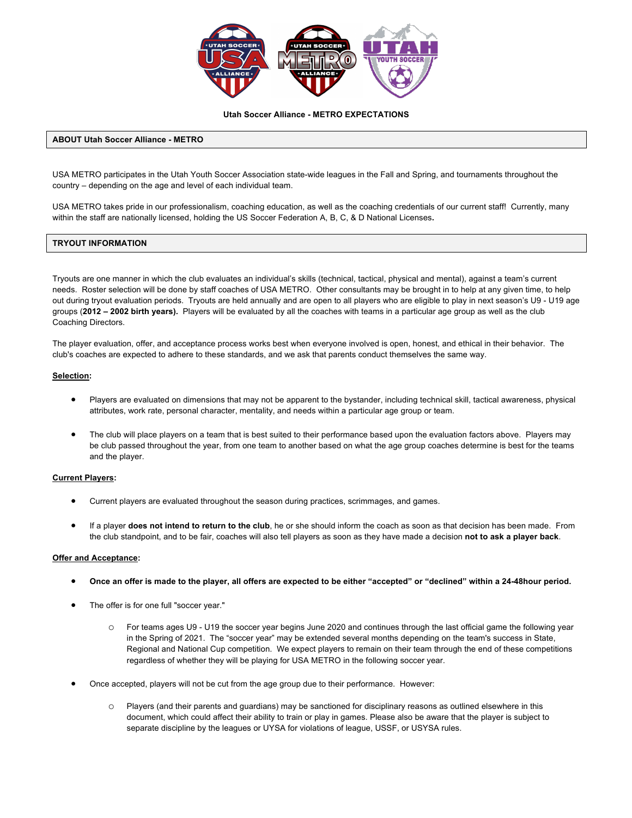

### **Utah Soccer Alliance - METRO EXPECTATIONS**

### **ABOUT Utah Soccer Alliance - METRO**

USA METRO participates in the Utah Youth Soccer Association state-wide leagues in the Fall and Spring, and tournaments throughout the country – depending on the age and level of each individual team.

USA METRO takes pride in our professionalism, coaching education, as well as the coaching credentials of our current staff! Currently, many within the staff are nationally licensed, holding the US Soccer Federation A, B, C, & D National Licenses**.**

### **TRYOUT INFORMATION**

Tryouts are one manner in which the club evaluates an individual's skills (technical, tactical, physical and mental), against a team's current needs. Roster selection will be done by staff coaches of USA METRO. Other consultants may be brought in to help at any given time, to help out during tryout evaluation periods. Tryouts are held annually and are open to all players who are eligible to play in next season's U9 - U19 age groups (**2012 – 2002 birth years).** Players will be evaluated by all the coaches with teams in a particular age group as well as the club Coaching Directors.

The player evaluation, offer, and acceptance process works best when everyone involved is open, honest, and ethical in their behavior. The club's coaches are expected to adhere to these standards, and we ask that parents conduct themselves the same way.

#### **Selection:**

- Players are evaluated on dimensions that may not be apparent to the bystander, including technical skill, tactical awareness, physical attributes, work rate, personal character, mentality, and needs within a particular age group or team.
- The club will place players on a team that is best suited to their performance based upon the evaluation factors above. Players may be club passed throughout the year, from one team to another based on what the age group coaches determine is best for the teams and the player.

#### **Current Players:**

- Current players are evaluated throughout the season during practices, scrimmages, and games.
- If a player **does not intend to return to the club**, he or she should inform the coach as soon as that decision has been made. From the club standpoint, and to be fair, coaches will also tell players as soon as they have made a decision **not to ask a player back**.

#### **Offer and Acceptance:**

- **Once an offer is made to the player, all offers are expected to be either "accepted" or "declined" within a 24-48hour period.**
- The offer is for one full "soccer year."
	- o For teams ages U9 U19 the soccer year begins June 2020 and continues through the last official game the following year in the Spring of 2021. The "soccer year" may be extended several months depending on the team's success in State, Regional and National Cup competition. We expect players to remain on their team through the end of these competitions regardless of whether they will be playing for USA METRO in the following soccer year.
- Once accepted, players will not be cut from the age group due to their performance. However:
	- o Players (and their parents and guardians) may be sanctioned for disciplinary reasons as outlined elsewhere in this document, which could affect their ability to train or play in games. Please also be aware that the player is subject to separate discipline by the leagues or UYSA for violations of league, USSF, or USYSA rules.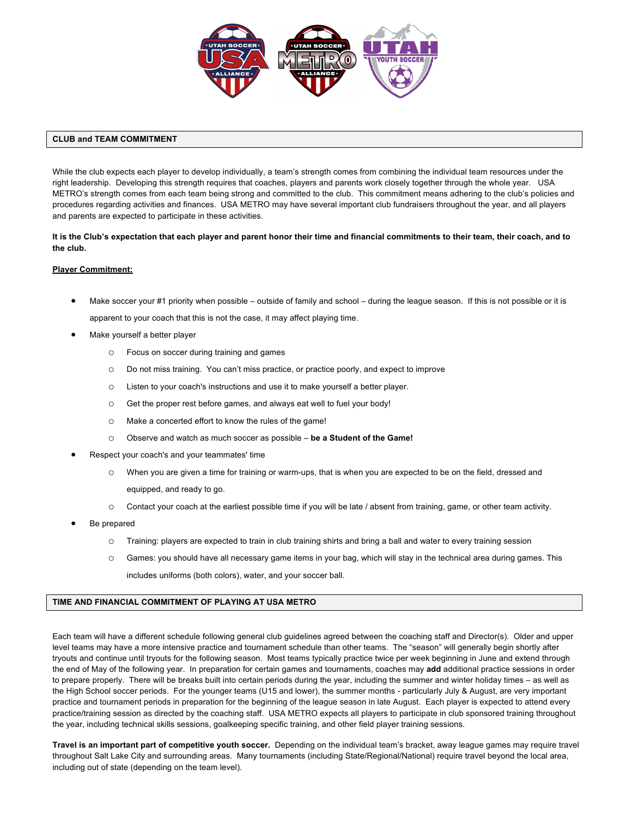

# **CLUB and TEAM COMMITMENT**

While the club expects each player to develop individually, a team's strength comes from combining the individual team resources under the right leadership. Developing this strength requires that coaches, players and parents work closely together through the whole year. USA METRO's strength comes from each team being strong and committed to the club. This commitment means adhering to the club's policies and procedures regarding activities and finances. USA METRO may have several important club fundraisers throughout the year, and all players and parents are expected to participate in these activities.

**It is the Club's expectation that each player and parent honor their time and financial commitments to their team, their coach, and to the club.**

# **Player Commitment:**

- Make soccer your #1 priority when possible outside of family and school during the league season. If this is not possible or it is apparent to your coach that this is not the case, it may affect playing time.
- Make yourself a better player
	- o Focus on soccer during training and games
	- o Do not miss training. You can't miss practice, or practice poorly, and expect to improve
	- o Listen to your coach's instructions and use it to make yourself a better player.
	- o Get the proper rest before games, and always eat well to fuel your body!
	- o Make a concerted effort to know the rules of the game!
	- o Observe and watch as much soccer as possible **be a Student of the Game!**
- Respect your coach's and your teammates' time
	- o When you are given a time for training or warm-ups, that is when you are expected to be on the field, dressed and equipped, and ready to go.
	- o Contact your coach at the earliest possible time if you will be late / absent from training, game, or other team activity.
- Be prepared
	- o Training: players are expected to train in club training shirts and bring a ball and water to every training session
	- o Games: you should have all necessary game items in your bag, which will stay in the technical area during games. This includes uniforms (both colors), water, and your soccer ball.

# **TIME AND FINANCIAL COMMITMENT OF PLAYING AT USA METRO**

Each team will have a different schedule following general club guidelines agreed between the coaching staff and Director(s). Older and upper level teams may have a more intensive practice and tournament schedule than other teams. The "season" will generally begin shortly after tryouts and continue until tryouts for the following season. Most teams typically practice twice per week beginning in June and extend through the end of May of the following year. In preparation for certain games and tournaments, coaches may **add** additional practice sessions in order to prepare properly. There will be breaks built into certain periods during the year, including the summer and winter holiday times – as well as the High School soccer periods. For the younger teams (U15 and lower), the summer months - particularly July & August, are very important practice and tournament periods in preparation for the beginning of the league season in late August. Each player is expected to attend every practice/training session as directed by the coaching staff. USA METRO expects all players to participate in club sponsored training throughout the year, including technical skills sessions, goalkeeping specific training, and other field player training sessions.

**Travel is an important part of competitive youth soccer.** Depending on the individual team's bracket, away league games may require travel throughout Salt Lake City and surrounding areas. Many tournaments (including State/Regional/National) require travel beyond the local area, including out of state (depending on the team level).